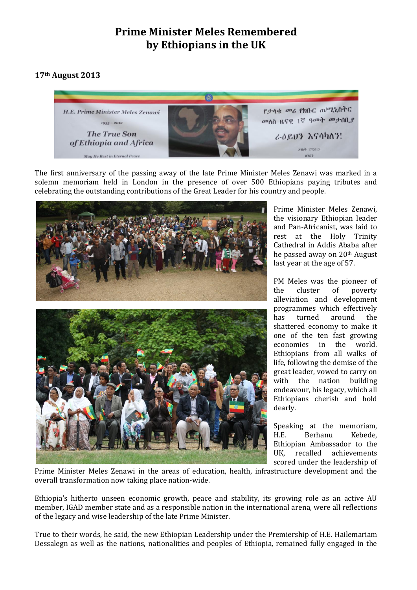## **Prime Minister Meles Remembered by Ethiopians in the UK**

## **17th August 2013**



The first anniversary of the passing away of the late Prime Minister Meles Zenawi was marked in a solemn memoriam held in London in the presence of over 500 Ethiopians paying tributes and celebrating the outstanding contributions of the Great Leader for his country and people.



Prime Minister Meles Zenawi, the visionary Ethiopian leader and Pan-Africanist, was laid to rest at the Holy Trinity Cathedral in Addis Ababa after he passed away on 20th August last year at the age of 57.

PM Meles was the pioneer of the cluster of poverty alleviation and development programmes which effectively has turned around the shattered economy to make it one of the ten fast growing economies in the world. Ethiopians from all walks of life, following the demise of the great leader, vowed to carry on with the nation building endeavour, his legacy, which all Ethiopians cherish and hold dearly.

Speaking at the memoriam, H.E. Berhanu Kebede, Ethiopian Ambassador to the UK, recalled achievements scored under the leadership of

Prime Minister Meles Zenawi in the areas of education, health, infrastructure development and the overall transformation now taking place nation-wide.

Ethiopia's hitherto unseen economic growth, peace and stability, its growing role as an active AU member, IGAD member state and as a responsible nation in the international arena, were all reflections of the legacy and wise leadership of the late Prime Minister.

True to their words, he said, the new Ethiopian Leadership under the Premiership of H.E. Hailemariam Dessalegn as well as the nations, nationalities and peoples of Ethiopia, remained fully engaged in the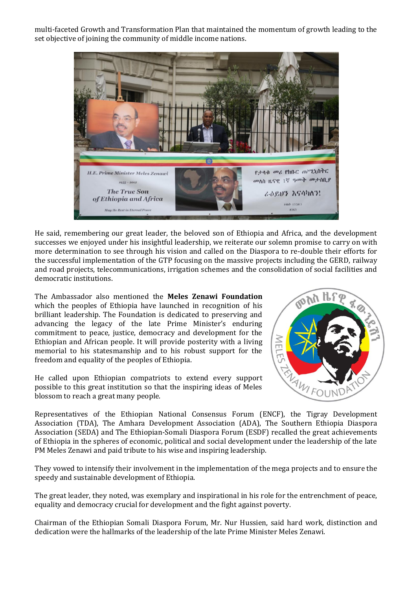multi-faceted Growth and Transformation Plan that maintained the momentum of growth leading to the set objective of joining the community of middle income nations.



He said, remembering our great leader, the beloved son of Ethiopia and Africa, and the development successes we enjoyed under his insightful leadership, we reiterate our solemn promise to carry on with more determination to see through his vision and called on the Diaspora to re-double their efforts for the successful implementation of the GTP focusing on the massive projects including the GERD, railway and road projects, telecommunications, irrigation schemes and the consolidation of social facilities and democratic institutions.

The Ambassador also mentioned the **Meles Zenawi Foundation** which the peoples of Ethiopia have launched in recognition of his brilliant leadership. The Foundation is dedicated to preserving and advancing the legacy of the late Prime Minister's enduring commitment to peace, justice, democracy and development for the Ethiopian and African people. It will provide posterity with a living memorial to his statesmanship and to his robust support for the freedom and equality of the peoples of Ethiopia.

He called upon Ethiopian compatriots to extend every support possible to this great institution so that the inspiring ideas of Meles blossom to reach a great many people.



Representatives of the Ethiopian National Consensus Forum (ENCF), the Tigray Development Association (TDA), The Amhara Development Association (ADA), The Southern Ethiopia Diaspora Association (SEDA) and The Ethiopian-Somali Diaspora Forum (ESDF) recalled the great achievements of Ethiopia in the spheres of economic, political and social development under the leadership of the late PM Meles Zenawi and paid tribute to his wise and inspiring leadership.

They vowed to intensify their involvement in the implementation of the mega projects and to ensure the speedy and sustainable development of Ethiopia.

The great leader, they noted, was exemplary and inspirational in his role for the entrenchment of peace, equality and democracy crucial for development and the fight against poverty.

Chairman of the Ethiopian Somali Diaspora Forum, Mr. Nur Hussien, said hard work, distinction and dedication were the hallmarks of the leadership of the late Prime Minister Meles Zenawi.